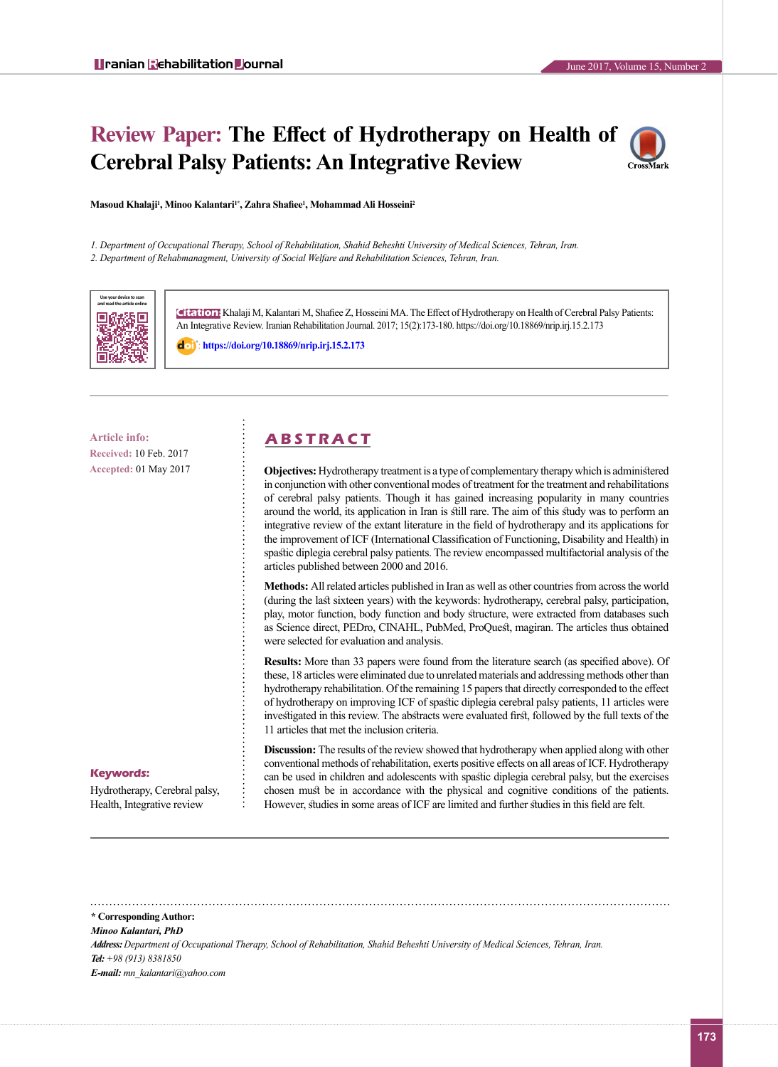# **Review Paper: The Effect of Hydrotherapy on Health of Cerebral Palsy Patients: An Integrative Review**



**Masoud Khalaji<sup>1</sup> , Minoo Kalantari1\*, Zahra Shafiee<sup>1</sup> , Mohammad Ali Hosseini<sup>2</sup>**

*1. Department of Occupational Therapy, School of Rehabilitation, Shahid Beheshti University of Medical Sciences, Tehran, Iran. 2. Department of Rehabmanagment, University of Social Welfare and Rehabilitation Sciences, Tehran, Iran.*



**Citation:** Khalaji M, Kalantari M, Shafiee Z, Hosseini MA. The Effect of Hydrotherapy on Health of Cerebral Palsy Patients: An Integrative Review. Iranian Rehabilitation Journal. 2017; 15(2):173-180. https://doi.org/10.18869/nrip.irj.15.2.173

: **<https://doi.org/10.18869/nrip.irj.15.2.173>**

**Received:** 10 Feb. 2017 **Accepted:** 01 May 2017

## **Article info: A B S T R A C T**

**Objectives:** Hydrotherapy treatment is a type of complementary therapy which is administered in conjunction with other conventional modes of treatment for the treatment and rehabilitations of cerebral palsy patients. Though it has gained increasing popularity in many countries around the world, its application in Iran is still rare. The aim of this study was to perform an integrative review of the extant literature in the field of hydrotherapy and its applications for the improvement of ICF (International Classification of Functioning, Disability and Health) in spastic diplegia cerebral palsy patients. The review encompassed multifactorial analysis of the articles published between 2000 and 2016.

**Methods:** All related articles published in Iran as well as other countries from across the world (during the last sixteen years) with the keywords: hydrotherapy, cerebral palsy, participation, play, motor function, body function and body structure, were extracted from databases such as Science direct, PEDro, CINAHL, PubMed, ProQuest, magiran. The articles thus obtained were selected for evaluation and analysis.

**Results:** More than 33 papers were found from the literature search (as specified above). Of these, 18 articles were eliminated due to unrelated materials and addressing methods other than hydrotherapy rehabilitation. Of the remaining 15 papers that directly corresponded to the effect of hydrotherapy on improving ICF of spastic diplegia cerebral palsy patients, 11 articles were investigated in this review. The abstracts were evaluated first, followed by the full texts of the 11 articles that met the inclusion criteria.

#### **Keywords:**

Hydrotherapy, Cerebral palsy, Health, Integrative review

**Discussion:** The results of the review showed that hydrotherapy when applied along with other conventional methods of rehabilitation, exerts positive effects on all areas of ICF. Hydrotherapy can be used in children and adolescents with spastic diplegia cerebral palsy, but the exercises chosen must be in accordance with the physical and cognitive conditions of the patients. However, studies in some areas of ICF are limited and further studies in this field are felt.

*Minoo Kalantari, PhD*

*Address: Department of Occupational Therapy, School of Rehabilitation, Shahid Beheshti University of Medical Sciences, Tehran, Iran. Tel: +98 (913) 8381850 E-mail: mn\_kalantari@yahoo.com*

**<sup>\*</sup> Corresponding Author:**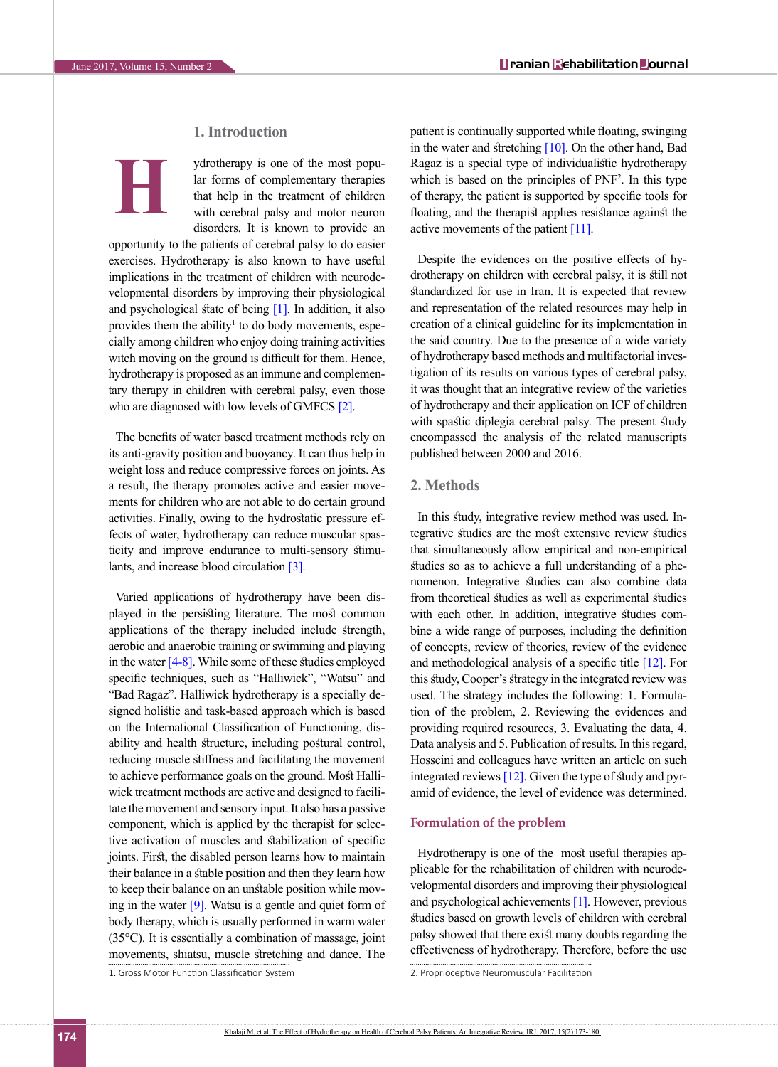**H**

#### **1. Introduction**

ydrotherapy is one of the most popular forms of complementary therapies that help in the treatment of children with cerebral palsy and motor neuron disorders. It is known to provide an

opportunity to the patients of cerebral palsy to do easier exercises. Hydrotherapy is also known to have useful implications in the treatment of children with neurodevelopmental disorders by improving their physiological and psychological state of being  $[1]$ . In addition, it also provides them the ability<sup>1</sup> to do body movements, especially among children who enjoy doing training activities witch moving on the ground is difficult for them. Hence, hydrotherapy is proposed as an immune and complementary therapy in children with cerebral palsy, even those who are diagnosed with low levels of GMFCS [\[2\]](#page-6-1).

The benefits of water based treatment methods rely on its anti-gravity position and buoyancy. It can thus help in weight loss and reduce compressive forces on joints. As a result, the therapy promotes active and easier movements for children who are not able to do certain ground activities. Finally, owing to the hydrostatic pressure effects of water, hydrotherapy can reduce muscular spasticity and improve endurance to multi-sensory stimu-lants, and increase blood circulation [\[3\]](#page-6-2).

Varied applications of hydrotherapy have been displayed in the persisting literature. The most common applications of the therapy included include strength, aerobic and anaerobic training or swimming and playing in the water  $[4-8]$ . While some of these studies employed specific techniques, such as "Halliwick", "Watsu" and "Bad Ragaz". Halliwick hydrotherapy is a specially designed holistic and task-based approach which is based on the International Classification of Functioning, disability and health structure, including postural control, reducing muscle stiffness and facilitating the movement to achieve performance goals on the ground. Most Halliwick treatment methods are active and designed to facilitate the movement and sensory input. It also has a passive component, which is applied by the therapist for selective activation of muscles and stabilization of specific joints. First, the disabled person learns how to maintain their balance in a stable position and then they learn how to keep their balance on an unstable position while moving in the water  $[9]$ . Watsu is a gentle and quiet form of body therapy, which is usually performed in warm water (35°C). It is essentially a combination of massage, joint movements, shiatsu, muscle stretching and dance. The patient is continually supported while floating, swinging in the water and stretching  $[10]$ . On the other hand, Bad Ragaz is a special type of individualistic hydrotherapy which is based on the principles of PNF<sup>2</sup>. In this type of therapy, the patient is supported by specific tools for floating, and the therapist applies resistance against the active movements of the patient [\[11\].](#page-6-6)

Despite the evidences on the positive effects of hydrotherapy on children with cerebral palsy, it is still not standardized for use in Iran. It is expected that review and representation of the related resources may help in creation of a clinical guideline for its implementation in the said country. Due to the presence of a wide variety of hydrotherapy based methods and multifactorial investigation of its results on various types of cerebral palsy, it was thought that an integrative review of the varieties of hydrotherapy and their application on ICF of children with spastic diplegia cerebral palsy. The present study encompassed the analysis of the related manuscripts published between 2000 and 2016.

#### **2. Methods**

In this study, integrative review method was used. Integrative studies are the most extensive review studies that simultaneously allow empirical and non-empirical studies so as to achieve a full understanding of a phenomenon. Integrative studies can also combine data from theoretical studies as well as experimental studies with each other. In addition, integrative studies combine a wide range of purposes, including the definition of concepts, review of theories, review of the evidence and methodological analysis of a specific title [\[12\].](#page-6-7) For this study, Cooper's strategy in the integrated review was used. The strategy includes the following: 1. Formulation of the problem, 2. Reviewing the evidences and providing required resources, 3. Evaluating the data, 4. Data analysis and 5. Publication of results. In this regard, Hosseini and colleagues have written an article on such integrated reviews [\[12\]](#page-6-7). Given the type of study and pyramid of evidence, the level of evidence was determined.

#### **Formulation of the problem**

Hydrotherapy is one of the most useful therapies applicable for the rehabilitation of children with neurodevelopmental disorders and improving their physiological and psychological achievements [\[1\]](#page-6-0). However, previous studies based on growth levels of children with cerebral palsy showed that there exist many doubts regarding the effectiveness of hydrotherapy. Therefore, before the use

<sup>1.</sup> Gross Motor Function Classification System

<sup>2.</sup> Proprioceptive Neuromuscular Facilitation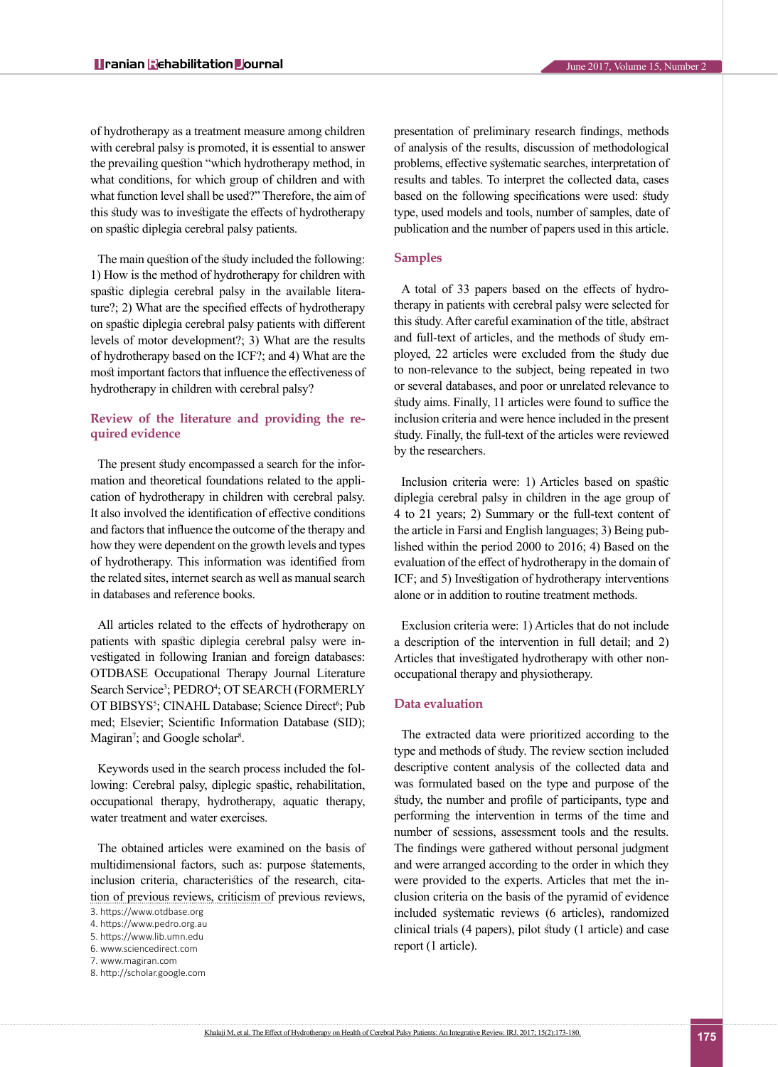of hydrotherapy as a treatment measure among children with cerebral palsy is promoted, it is essential to answer the prevailing question "which hydrotherapy method, in what conditions, for which group of children and with what function level shall be used?" Therefore, the aim of this study was to investigate the effects of hydrotherapy on spastic diplegia cerebral palsy patients.

The main question of the study included the following: 1) How is the method of hydrotherapy for children with spastic diplegia cerebral palsy in the available literature?; 2) What are the specified effects of hydrotherapy on spastic diplegia cerebral palsy patients with different levels of motor development?; 3) What are the results of hydrotherapy based on the ICF?; and 4) What are the most important factors that influence the effectiveness of hydrotherapy in children with cerebral palsy?

#### **Review of the literature and providing the required evidence**

The present study encompassed a search for the information and theoretical foundations related to the application of hydrotherapy in children with cerebral palsy. It also involved the identification of effective conditions and factors that influence the outcome of the therapy and how they were dependent on the growth levels and types of hydrotherapy. This information was identified from the related sites, internet search as well as manual search in databases and reference books.

All articles related to the effects of hydrotherapy on patients with spastic diplegia cerebral palsy were investigated in following Iranian and foreign databases: OTDBASE Occupational Therapy Journal Literature Search Service<sup>3</sup>; PEDRO<sup>4</sup>; OT SEARCH (FORMERLY OT BIBSYS<sup>5</sup>; CINAHL Database; Science Direct<sup>6</sup>; Pub med; Elsevier; Scientific Information Database (SID); Magiran<sup>7</sup>; and Google scholar<sup>8</sup>.

Keywords used in the search process included the following: Cerebral palsy, diplegic spastic, rehabilitation, occupational therapy, hydrotherapy, aquatic therapy, water treatment and water exercises.

The obtained articles were examined on the basis of multidimensional factors, such as: purpose statements, inclusion criteria, characteristics of the research, citation of previous reviews, criticism of previous reviews,

presentation of preliminary research findings, methods of analysis of the results, discussion of methodological problems, effective systematic searches, interpretation of results and tables. To interpret the collected data, cases based on the following specifications were used: study type, used models and tools, number of samples, date of publication and the number of papers used in this article.

#### **Samples**

A total of 33 papers based on the effects of hydrotherapy in patients with cerebral palsy were selected for this study. After careful examination of the title, abstract and full-text of articles, and the methods of study employed, 22 articles were excluded from the study due to non-relevance to the subject, being repeated in two or several databases, and poor or unrelated relevance to study aims. Finally, 11 articles were found to suffice the inclusion criteria and were hence included in the present study. Finally, the full-text of the articles were reviewed by the researchers.

Inclusion criteria were: 1) Articles based on spastic diplegia cerebral palsy in children in the age group of 4 to 21 years; 2) Summary or the full-text content of the article in Farsi and English languages; 3) Being published within the period 2000 to 2016; 4) Based on the evaluation of the effect of hydrotherapy in the domain of ICF; and 5) Investigation of hydrotherapy interventions alone or in addition to routine treatment methods.

Exclusion criteria were: 1) Articles that do not include a description of the intervention in full detail; and 2) Articles that investigated hydrotherapy with other nonoccupational therapy and physiotherapy.

#### **Data evaluation**

The extracted data were prioritized according to the type and methods of study. The review section included descriptive content analysis of the collected data and was formulated based on the type and purpose of the study, the number and profile of participants, type and performing the intervention in terms of the time and number of sessions, assessment tools and the results. The findings were gathered without personal judgment and were arranged according to the order in which they were provided to the experts. Articles that met the inclusion criteria on the basis of the pyramid of evidence included systematic reviews (6 articles), randomized clinical trials (4 papers), pilot study (1 article) and case report (1 article).

<sup>3.</sup> https://www.otdbase.org

<sup>4.</sup> <https://www.pedro.org.au>

<sup>5.</sup> <https://www.lib.umn.edu> 6. www.sciencedirect.com

<sup>7.</sup> [www.magiran.com](http://www.magiran.com)

<sup>8.</sup> http://scholar.google.com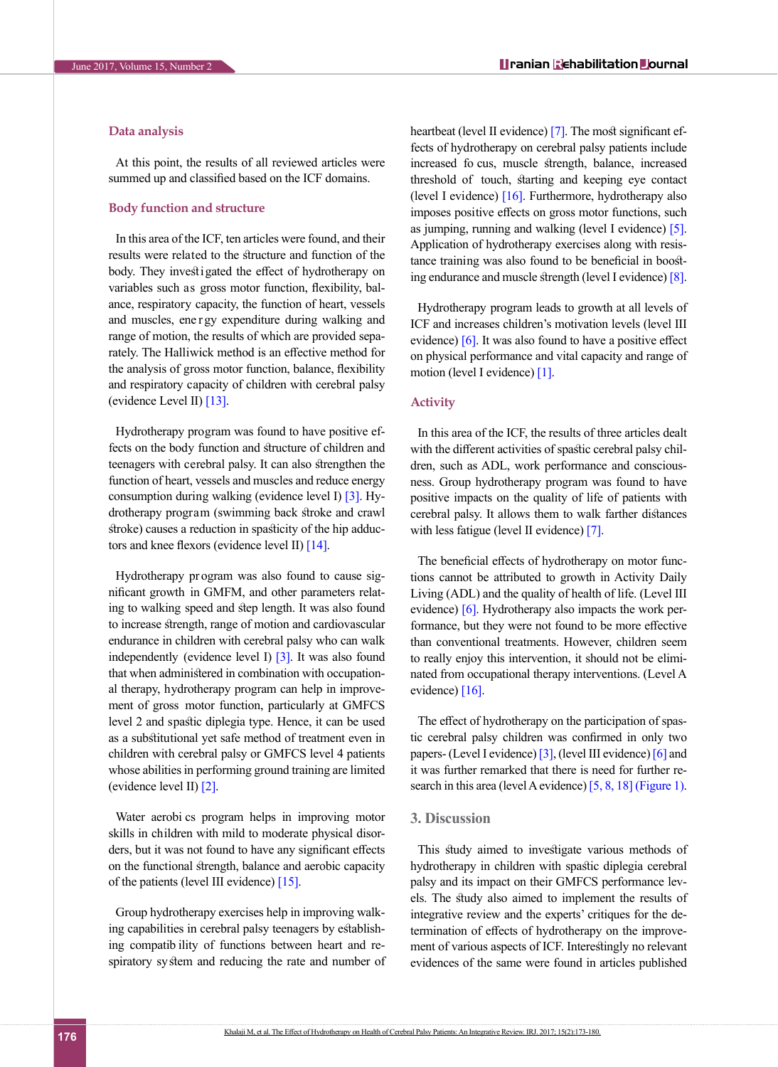#### **Data analysis**

At this point, the results of all reviewed articles were summed up and classified based on the ICF domains.

#### **Body function and structure**

In this area of the ICF, ten articles were found, and their results were related to the structure and function of the body. They investigated the effect of hydrotherapy on variables such as gross motor function, flexibility, balance, respiratory capacity, the function of heart, vessels and muscles, ene r gy expenditure during walking and range of motion, the results of which are provided separately. The Halliwick method is an effective method for the analysis of gross motor function, balance, flexibility and respiratory capacity of children with cerebral palsy (evidence Level II) [\[13\]](#page-6-8).

Hydrotherapy program was found to have positive effects on the body function and structure of children and teenagers with cerebral palsy. It can also strengthen the function of heart, vessels and muscles and reduce energy consumption during walking (evidence level I)  $\overline{3}$ . Hydrotherapy program (swimming back stroke and crawl stroke) causes a reduction in spasticity of the hip adductors and knee flexors (evidence level II)  $[14]$ .

Hydrotherapy pr ogram was also found to cause significant growth in GMFM, and other parameters relating to walking speed and step length. It was also found to increase strength, range of motion and cardiovascular endurance in children with cerebral palsy who can walk independently (evidence level I)  $\lceil 3 \rceil$ . It was also found that when administered in combination with occupational therapy, hydrotherapy program can help in improvement of gross motor function, particularly at GMFCS level 2 and spastic diplegia type. Hence, it can be used as a substitutional yet safe method of treatment even in children with cerebral palsy or GMFCS level 4 patients whose abilities in performing ground training are limited (evidence level II) [\[2\]](#page-6-1).

Water aerobi cs program helps in improving motor skills in children with mild to moderate physical disorders, but it was not found to have any significant effects on the functional strength, balance and aerobic capacity of the patients (level III evidence) [15].

Group hydrotherapy exercises help in improving walking capabilities in cerebral palsy teenagers by establishing compatib ility of functions between heart and respiratory system and reducing the rate and number of heartbeat (level II evidence) [\[7\]](#page-6-10). The most significant effects of hydrotherapy on cerebral palsy patients include increased fo cus, muscle strength, balance, increased threshold of touch, starting and keeping eye contact (level I evidence) [\[16\].](#page-6-11) Furthermore, hydrotherapy also imposes positive effects on gross motor functions, such as jumping, running and walking (level I evidence) [\[5\]](#page-6-12). Application of hydrotherapy exercises along with resistance training was also found to be beneficial in boosting endurance and muscle strength (level I evidence) [\[8\]](#page-6-13).

Hydrotherapy program leads to growth at all levels of ICF and increases children's motivation levels (level III evidence) [\[6\]](#page-6-14). It was also found to have a positive effect on physical performance and vital capacity and range of motion (level I evidence) [\[1\]](#page-6-0).

#### **Activity**

In this area of the ICF, the results of three articles dealt with the different activities of spastic cerebral palsy children, such as ADL, work performance and consciousness. Group hydrotherapy program was found to have positive impacts on the quality of life of patients with cerebral palsy. It allows them to walk farther distances with less fatigue (level II evidence) [\[7\]](#page-6-10).

The beneficial effects of hydrotherapy on motor functions cannot be attributed to growth in Activity Daily Living (ADL) and the quality of health of life. (Level III evidence) [\[6\]](#page-6-14). Hydrotherapy also impacts the work performance, but they were not found to be more effective than conventional treatments. However, children seem to really enjoy this intervention, it should not be eliminated from occupational therapy interventions. (Level A evidence) [\[16\].](#page-6-11)

The effect of hydrotherapy on the participation of spastic cerebral palsy children was confirmed in only two papers- (Level I evidence) [\[3\],](#page-6-2) (level III evidence) [\[6\] a](#page-6-14)nd it was further remarked that there is need for further research in this area (level A evidence) [\[5,](#page-6-12) [8,](#page-6-13) [18\]](#page-6-15) [\(Figure 1\)](#page-4-0).

#### **3. Discussion**

This study aimed to investigate various methods of hydrotherapy in children with spastic diplegia cerebral palsy and its impact on their GMFCS performance levels. The study also aimed to implement the results of integrative review and the experts' critiques for the determination of effects of hydrotherapy on the improvement of various aspects of ICF. Interestingly no relevant evidences of the same were found in articles published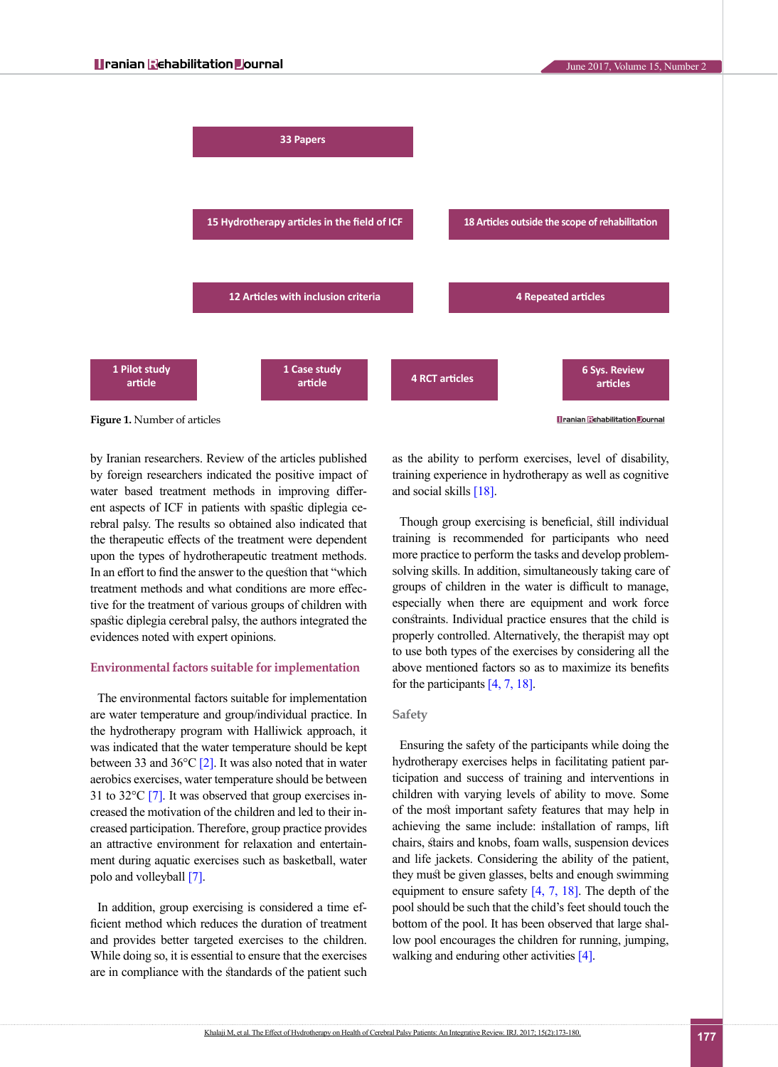

<span id="page-4-0"></span>by Iranian researchers. Review of the articles published by foreign researchers indicated the positive impact of water based treatment methods in improving different aspects of ICF in patients with spastic diplegia cerebral palsy. The results so obtained also indicated that the therapeutic effects of the treatment were dependent upon the types of hydrotherapeutic treatment methods. In an effort to find the answer to the question that "which treatment methods and what conditions are more effective for the treatment of various groups of children with spastic diplegia cerebral palsy, the authors integrated the evidences noted with expert opinions.

#### **Environmental factors suitable for implementation**

The environmental factors suitable for implementation are water temperature and group/individual practice. In the hydrotherapy program with Halliwick approach, it was indicated that the water temperature should be kept between 33 and  $36^{\circ}$ C [\[2\]](#page-6-1). It was also noted that in water aerobics exercises, water temperature should be between 31 to 32 $\degree$ C [\[7\]](#page-6-10). It was observed that group exercises increased the motivation of the children and led to their increased participation. Therefore, group practice provides an attractive environment for relaxation and entertainment during aquatic exercises such as basketball, water polo and volleyball [\[7\].](#page-6-10)

In addition, group exercising is considered a time efficient method which reduces the duration of treatment and provides better targeted exercises to the children. While doing so, it is essential to ensure that the exercises are in compliance with the standards of the patient such

as the ability to perform exercises, level of disability, training experience in hydrotherapy as well as cognitive and social skills [\[18\]](#page-6-15).

Though group exercising is beneficial, still individual training is recommended for participants who need more practice to perform the tasks and develop problemsolving skills. In addition, simultaneously taking care of groups of children in the water is difficult to manage, especially when there are equipment and work force constraints. Individual practice ensures that the child is properly controlled. Alternatively, the therapist may opt to use both types of the exercises by considering all the above mentioned factors so as to maximize its benefits for the participants [\[4,](#page-6-3) [7,](#page-6-10) [18\].](#page-6-15)

#### **Safety**

Ensuring the safety of the participants while doing the hydrotherapy exercises helps in facilitating patient participation and success of training and interventions in children with varying levels of ability to move. Some of the most important safety features that may help in achieving the same include: installation of ramps, lift chairs, stairs and knobs, foam walls, suspension devices and life jackets. Considering the ability of the patient, they must be given glasses, belts and enough swimming equipment to ensure safety  $[4, 7, 18]$  $[4, 7, 18]$  $[4, 7, 18]$ . The depth of the pool should be such that the child's feet should touch the bottom of the pool. It has been observed that large shallow pool encourages the children for running, jumping, walking and enduring other activities [\[4\]](#page-6-3).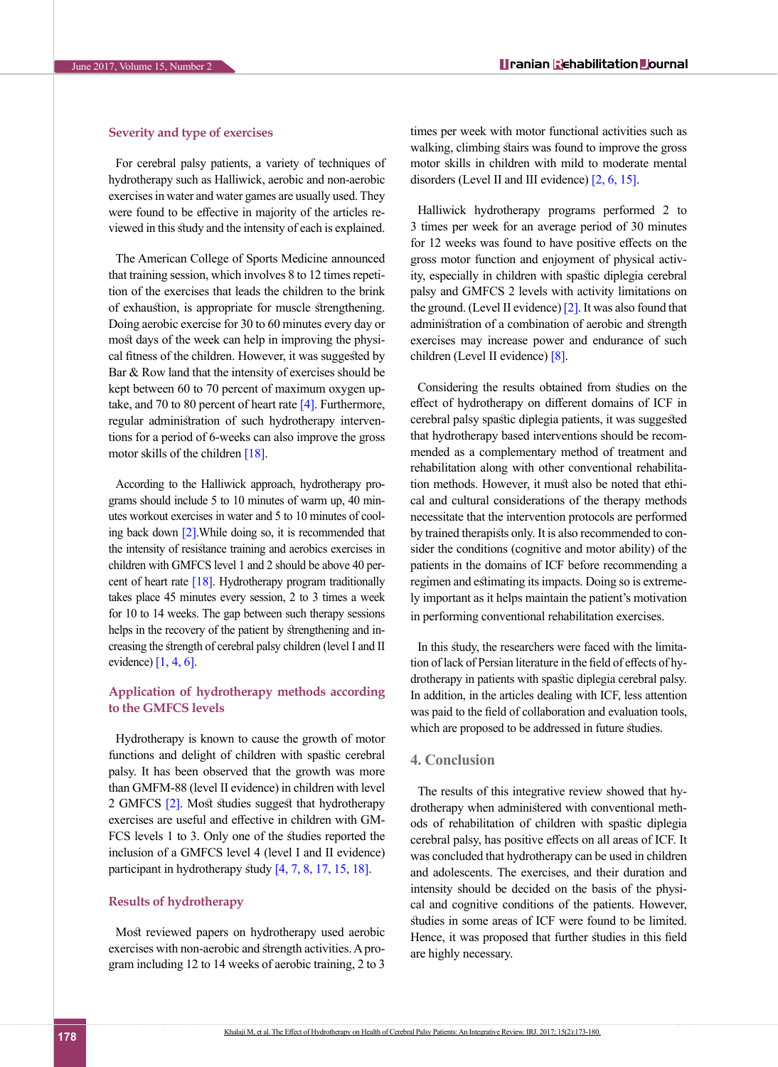### **Severity and type of exercises**

For cerebral palsy patients, a variety of techniques of hydrotherapy such as Halliwick, aerobic and non-aerobic exercises in water and water games are usually used. They were found to be effective in majority of the articles reviewed in this study and the intensity of each is explained.

The American College of Sports Medicine announced that training session, which involves 8 to 12 times repetition of the exercises that leads the children to the brink of exhaustion, is appropriate for muscle strengthening. Doing aerobic exercise for 30 to 60 minutes every day or most days of the week can help in improving the physical fitness of the children. However, it was suggested by Bar & Row land that the intensity of exercises should be kept between 60 to 70 percent of maximum oxygen uptake, and 70 to 80 percent of heart rate  $[4]$ . Furthermore, regular administration of such hydrotherapy interventions for a period of 6-weeks can also improve the gross motor skills of the children  $[18]$ .

According to the Halliwick approach, hydrotherapy programs should include 5 to 10 minutes of warm up, 40 minutes workout exercises in water and 5 to 10 minutes of cool-ing back down [\[2\].](#page-6-1) While doing so, it is recommended that the intensity of resistance training and aerobics exercises in children with GMFCS level 1 and 2 should be above 40 percent of heart rate [\[18\].](#page-6-15) Hydrotherapy program traditionally takes place 45 minutes every session, 2 to 3 times a week for 10 to 14 weeks. The gap between such therapy sessions helps in the recovery of the patient by strengthening and increasing the strength of cerebral palsy children (level I and II evidence)  $[1, 4, 6]$  $[1, 4, 6]$  $[1, 4, 6]$ .

#### **Application of hydrotherapy methods according to the GMFCS levels**

Hydrotherapy is known to cause the growth of motor functions and delight of children with spastic cerebral palsy. It has been observed that the growth was more than GMFM-88 (level II evidence) in children with level 2 GMFCS [\[2\]](#page-6-1). Most studies suggest that hydrotherapy exercises are useful and effective in children with GM-FCS levels 1 to 3. Only one of the studies reported the inclusion of a GMFCS level 4 (level I and II evidence) participant in hydrotherapy study [\[4,](#page-6-3) [7,](#page-6-10) [8,](#page-6-13) 17, 15, [18\].](#page-6-15)

#### **Results of hydrotherapy**

Most reviewed papers on hydrotherapy used aerobic exercises with non-aerobic and strength activities. A program including 12 to 14 weeks of aerobic training, 2 to 3 times per week with motor functional activities such as walking, climbing stairs was found to improve the gross motor skills in children with mild to moderate mental disorders (Level II and III evidence) [\[2,](#page-6-1) [6,](#page-6-14) 15].

Halliwick hydrotherapy programs performed 2 to 3 times per week for an average period of 30 minutes for 12 weeks was found to have positive effects on the gross motor function and enjoyment of physical activity, especially in children with spastic diplegia cerebral palsy and GMFCS 2 levels with activity limitations on the ground. (Level II evidence) [\[2\]](#page-6-1). It was also found that administration of a combination of aerobic and strength exercises may increase power and endurance of such children (Level II evidence) [\[8\].](#page-6-13)

Considering the results obtained from studies on the effect of hydrotherapy on different domains of ICF in cerebral palsy spastic diplegia patients, it was suggested that hydrotherapy based interventions should be recommended as a complementary method of treatment and rehabilitation along with other conventional rehabilitation methods. However, it must also be noted that ethical and cultural considerations of the therapy methods necessitate that the intervention protocols are performed by trained therapists only. It is also recommended to consider the conditions (cognitive and motor ability) of the patients in the domains of ICF before recommending a regimen and estimating its impacts. Doing so is extremely important as it helps maintain the patient's motivation in performing conventional rehabilitation exercises.

In this study, the researchers were faced with the limitation of lack of Persian literature in the field of effects of hydrotherapy in patients with spastic diplegia cerebral palsy. In addition, in the articles dealing with ICF, less attention was paid to the field of collaboration and evaluation tools, which are proposed to be addressed in future studies.

#### **4. Conclusion**

The results of this integrative review showed that hydrotherapy when administered with conventional methods of rehabilitation of children with spastic diplegia cerebral palsy, has positive effects on all areas of ICF. It was concluded that hydrotherapy can be used in children and adolescents. The exercises, and their duration and intensity should be decided on the basis of the physical and cognitive conditions of the patients. However, studies in some areas of ICF were found to be limited. Hence, it was proposed that further studies in this field are highly necessary.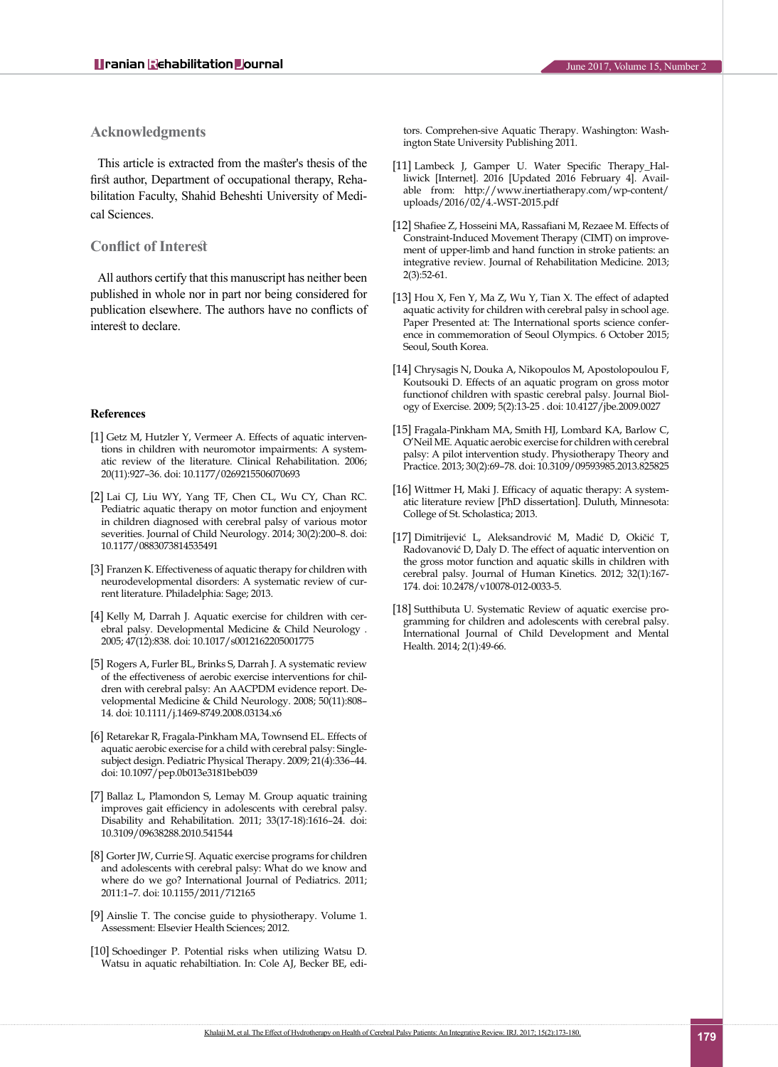#### **Acknowledgments**

This article is extracted from the master's thesis of the first author, Department of occupational therapy, Rehabilitation Faculty, Shahid Beheshti University of Medical Sciences.

#### **Conflict of Interest**

All authors certify that this manuscript has neither been published in whole nor in part nor being considered for publication elsewhere. The authors have no conflicts of interest to declare.

#### **References**

- <span id="page-6-0"></span>[1] Getz M, Hutzler Y, Vermeer A. Effects of aquatic interventions in children with neuromotor impairments: A systematic review of the literature. Clinical Rehabilitation. 2006; 20(11):927–36. doi: 10.1177/0269215506070693
- <span id="page-6-1"></span>[2] Lai CJ, Liu WY, Yang TF, Chen CL, Wu CY, Chan RC. Pediatric aquatic therapy on motor function and enjoyment in children diagnosed with cerebral palsy of various motor severities. Journal of Child Neurology. 2014; 30(2):200–8. doi: 10.1177/0883073814535491
- <span id="page-6-2"></span>[3] Franzen K. Effectiveness of aquatic therapy for children with neurodevelopmental disorders: A systematic review of current literature. Philadelphia: Sage; 2013.
- <span id="page-6-3"></span>[4] Kelly M, Darrah J. Aquatic exercise for children with cerebral palsy. Developmental Medicine & Child Neurology . 2005; 47(12):838. doi: 10.1017/s0012162205001775
- <span id="page-6-12"></span>[5] Rogers A, Furler BL, Brinks S, Darrah J. A systematic review of the effectiveness of aerobic exercise interventions for children with cerebral palsy: An AACPDM evidence report. Developmental Medicine & Child Neurology. 2008; 50(11):808– 14. doi: 10.1111/j.1469-8749.2008.03134.x6
- <span id="page-6-14"></span>[6] Retarekar R, Fragala-Pinkham MA, Townsend EL. Effects of aquatic aerobic exercise for a child with cerebral palsy: Singlesubject design. Pediatric Physical Therapy. 2009; 21(4):336–44. doi: 10.1097/pep.0b013e3181beb039
- <span id="page-6-10"></span>[7] Ballaz L, Plamondon S, Lemay M. Group aquatic training improves gait efficiency in adolescents with cerebral palsy. Disability and Rehabilitation. 2011; 33(17-18):1616–24. doi: 10.3109/09638288.2010.541544
- <span id="page-6-13"></span>[8] Gorter JW, Currie SJ. Aquatic exercise programs for children and adolescents with cerebral palsy: What do we know and where do we go? International Journal of Pediatrics. 2011; 2011:1–7. doi: 10.1155/2011/712165
- <span id="page-6-4"></span>[9] Ainslie T. The concise guide to physiotherapy. Volume 1. Assessment: Elsevier Health Sciences; 2012.
- <span id="page-6-5"></span>[10] Schoedinger P. Potential risks when utilizing Watsu D. Watsu in aquatic rehabiltiation. In: Cole AJ, Becker BE, edi-

tors. Comprehen-sive Aquatic Therapy. Washington: Washington State University Publishing 2011.

- <span id="page-6-6"></span>[11] Lambeck J, Gamper U. Water Specific Therapy\_Halliwick [Internet]. 2016 [Updated 2016 February 4]. Available from: http://www.inertiatherapy.com/wp-content/ uploads/2016/02/4.-WST-2015.pdf
- <span id="page-6-7"></span>[12] Shafiee Z, Hosseini MA, Rassafiani M, Rezaee M. Effects of Constraint-Induced Movement Therapy (CIMT) on improvement of upper-limb and hand function in stroke patients: an integrative review. Journal of Rehabilitation Medicine. 2013; 2(3):52-61.
- <span id="page-6-8"></span>[13] Hou X, Fen Y, Ma Z, Wu Y, Tian X. The effect of adapted aquatic activity for children with cerebral palsy in school age. Paper Presented at: The International sports science conference in commemoration of Seoul Olympics. 6 October 2015; Seoul, South Korea.
- <span id="page-6-9"></span>[14] Chrysagis N, Douka A, Nikopoulos M, Apostolopoulou F, Koutsouki D. Effects of an aquatic program on gross motor functionof children with spastic cerebral palsy. Journal Biology of Exercise. 2009; 5(2):13-25 . doi: 10.4127/jbe.2009.0027
- [15] Fragala-Pinkham MA, Smith HJ, Lombard KA, Barlow C, O'Neil ME. Aquatic aerobic exercise for children with cerebral palsy: A pilot intervention study. Physiotherapy Theory and Practice. 2013; 30(2):69–78. doi: 10.3109/09593985.2013.825825
- <span id="page-6-11"></span>[16] Wittmer H, Maki J. Efficacy of aquatic therapy: A systematic literature review [PhD dissertation]. Duluth, Minnesota: College of St. Scholastica; 2013.
- [17] Dimitrijević L, Aleksandrović M, Madić D, Okičić T, Radovanović D, Daly D. The effect of aquatic intervention on the gross motor function and aquatic skills in children with cerebral palsy. Journal of Human Kinetics. 2012; 32(1):167- 174. doi: 10.2478/v10078-012-0033-5.
- <span id="page-6-15"></span>[18] Sutthibuta U. Systematic Review of aquatic exercise programming for children and adolescents with cerebral palsy. International Journal of Child Development and Mental Health. 2014; 2(1):49-66.